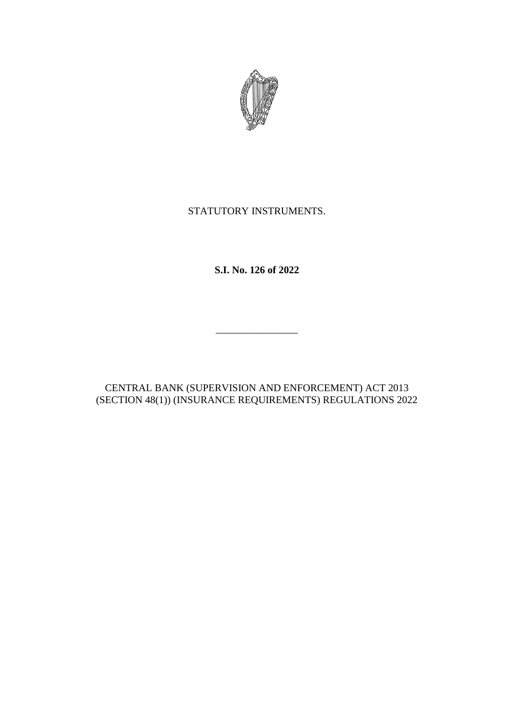

# STATUTORY INSTRUMENTS.

**S.I. No. 126 of 2022**

 $\frac{1}{2}$  ,  $\frac{1}{2}$  ,  $\frac{1}{2}$  ,  $\frac{1}{2}$  ,  $\frac{1}{2}$  ,  $\frac{1}{2}$  ,  $\frac{1}{2}$  ,  $\frac{1}{2}$  ,  $\frac{1}{2}$  ,  $\frac{1}{2}$  ,  $\frac{1}{2}$  ,  $\frac{1}{2}$  ,  $\frac{1}{2}$  ,  $\frac{1}{2}$  ,  $\frac{1}{2}$  ,  $\frac{1}{2}$  ,  $\frac{1}{2}$  ,  $\frac{1}{2}$  ,  $\frac{1$ 

CENTRAL BANK (SUPERVISION AND ENFORCEMENT) ACT 2013 (SECTION 48(1)) (INSURANCE REQUIREMENTS) REGULATIONS 2022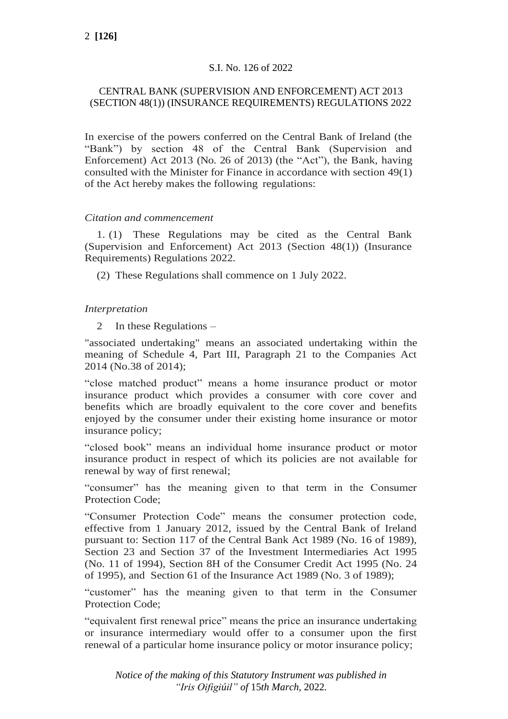## S.I. No. 126 of 2022

## CENTRAL BANK (SUPERVISION AND ENFORCEMENT) ACT 2013 (SECTION 48(1)) (INSURANCE REQUIREMENTS) REGULATIONS 2022

In exercise of the powers conferred on the Central Bank of Ireland (the "Bank") by section 48 of the Central Bank (Supervision and Enforcement) Act 2013 (No. 26 of 2013) (the "Act"), the Bank, having consulted with the Minister for Finance in accordance with section 49(1) of the Act hereby makes the following regulations:

### *Citation and commencement*

1. (1) These Regulations may be cited as the Central Bank (Supervision and Enforcement) Act 2013 (Section 48(1)) (Insurance Requirements) Regulations 2022.

(2) These Regulations shall commence on 1 July 2022.

## *Interpretation*

2 In these Regulations –

"associated undertaking" means an associated undertaking within the meaning of Schedule 4, Part III, Paragraph 21 to the Companies Act 2014 (No.38 of 2014);

"close matched product" means a home insurance product or motor insurance product which provides a consumer with core cover and benefits which are broadly equivalent to the core cover and benefits enjoyed by the consumer under their existing home insurance or motor insurance policy;

"closed book" means an individual home insurance product or motor insurance product in respect of which its policies are not available for renewal by way of first renewal;

"consumer" has the meaning given to that term in the Consumer Protection Code;

"Consumer Protection Code" means the consumer protection code, effective from 1 January 2012, issued by the Central Bank of Ireland pursuant to: Section 117 of the Central Bank Act 1989 (No. 16 of 1989), Section 23 and Section 37 of the Investment Intermediaries Act 1995 (No. 11 of 1994), Section 8H of the Consumer Credit Act 1995 (No. 24 of 1995), and Section 61 of the Insurance Act 1989 (No. 3 of 1989);

"customer" has the meaning given to that term in the Consumer Protection Code;

"equivalent first renewal price" means the price an insurance undertaking or insurance intermediary would offer to a consumer upon the first renewal of a particular home insurance policy or motor insurance policy;

*Notice of the making of this Statutory Instrument was published in "Iris Oifigiúil" of* 15*th March,* 2022*.*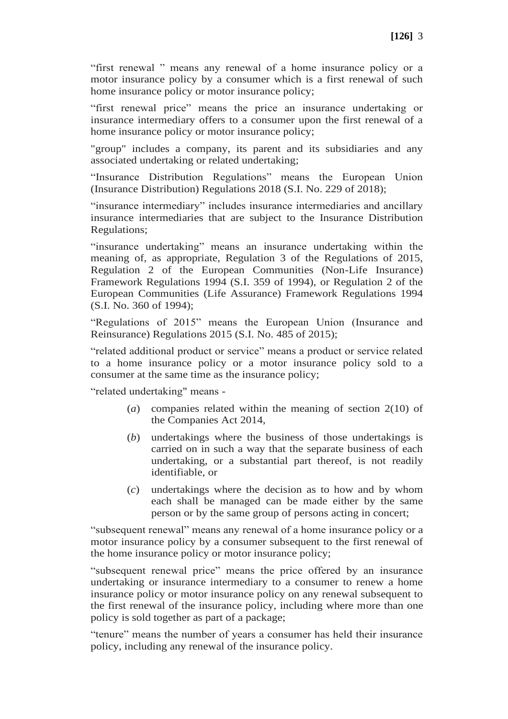"first renewal " means any renewal of a home insurance policy or a motor insurance policy by a consumer which is a first renewal of such home insurance policy or motor insurance policy;

"first renewal price" means the price an insurance undertaking or insurance intermediary offers to a consumer upon the first renewal of a home insurance policy or motor insurance policy;

"group" includes a company, its parent and its subsidiaries and any associated undertaking or related undertaking;

"Insurance Distribution Regulations" means the European Union (Insurance Distribution) Regulations 2018 (S.I. No. 229 of 2018);

"insurance intermediary" includes insurance intermediaries and ancillary insurance intermediaries that are subject to the Insurance Distribution Regulations;

"insurance undertaking" means an insurance undertaking within the meaning of, as appropriate, Regulation 3 of the Regulations of 2015, Regulation 2 of the European Communities (Non-Life Insurance) Framework Regulations 1994 (S.I. 359 of 1994), or Regulation 2 of the European Communities (Life Assurance) Framework Regulations 1994 (S.I. No. 360 of 1994);

"Regulations of 2015" means the European Union (Insurance and Reinsurance) Regulations 2015 (S.I. No. 485 of 2015);

"related additional product or service" means a product or service related to a home insurance policy or a motor insurance policy sold to a consumer at the same time as the insurance policy;

"related undertaking" means -

- (*a*) companies related within the meaning of section 2(10) of the Companies Act 2014,
- (*b*) undertakings where the business of those undertakings is carried on in such a way that the separate business of each undertaking, or a substantial part thereof, is not readily identifiable, or
- (*c*) undertakings where the decision as to how and by whom each shall be managed can be made either by the same person or by the same group of persons acting in concert;

"subsequent renewal" means any renewal of a home insurance policy or a motor insurance policy by a consumer subsequent to the first renewal of the home insurance policy or motor insurance policy;

"subsequent renewal price" means the price offered by an insurance undertaking or insurance intermediary to a consumer to renew a home insurance policy or motor insurance policy on any renewal subsequent to the first renewal of the insurance policy, including where more than one policy is sold together as part of a package;

"tenure" means the number of years a consumer has held their insurance policy, including any renewal of the insurance policy.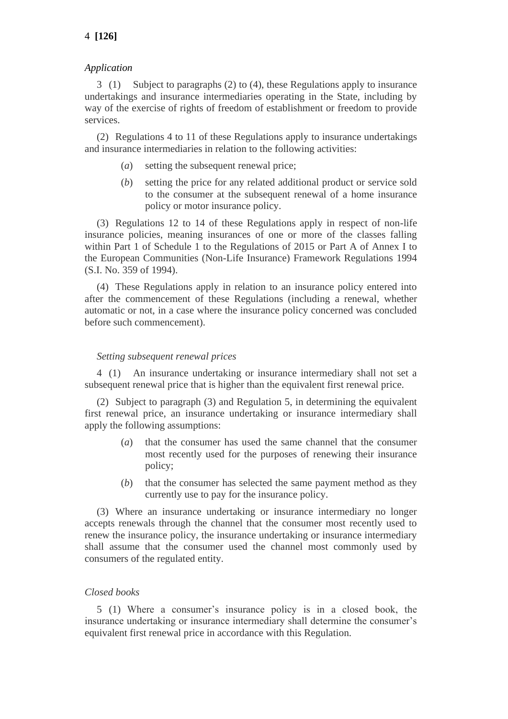## *Application*

3 (1) Subject to paragraphs (2) to (4), these Regulations apply to insurance undertakings and insurance intermediaries operating in the State, including by way of the exercise of rights of freedom of establishment or freedom to provide services.

(2) Regulations 4 to 11 of these Regulations apply to insurance undertakings and insurance intermediaries in relation to the following activities:

- (*a*) setting the subsequent renewal price;
- (*b*) setting the price for any related additional product or service sold to the consumer at the subsequent renewal of a home insurance policy or motor insurance policy.

(3) Regulations 12 to 14 of these Regulations apply in respect of non-life insurance policies, meaning insurances of one or more of the classes falling within Part 1 of Schedule 1 to the Regulations of 2015 or Part A of Annex I to the European Communities (Non-Life Insurance) Framework Regulations 1994 (S.I. No. 359 of 1994).

(4) These Regulations apply in relation to an insurance policy entered into after the commencement of these Regulations (including a renewal, whether automatic or not, in a case where the insurance policy concerned was concluded before such commencement).

#### *Setting subsequent renewal prices*

4 (1) An insurance undertaking or insurance intermediary shall not set a subsequent renewal price that is higher than the equivalent first renewal price.

(2) Subject to paragraph (3) and Regulation 5, in determining the equivalent first renewal price, an insurance undertaking or insurance intermediary shall apply the following assumptions:

- (*a*) that the consumer has used the same channel that the consumer most recently used for the purposes of renewing their insurance policy;
- (*b*) that the consumer has selected the same payment method as they currently use to pay for the insurance policy.

(3) Where an insurance undertaking or insurance intermediary no longer accepts renewals through the channel that the consumer most recently used to renew the insurance policy, the insurance undertaking or insurance intermediary shall assume that the consumer used the channel most commonly used by consumers of the regulated entity.

### *Closed books*

5 (1) Where a consumer's insurance policy is in a closed book, the insurance undertaking or insurance intermediary shall determine the consumer's equivalent first renewal price in accordance with this Regulation.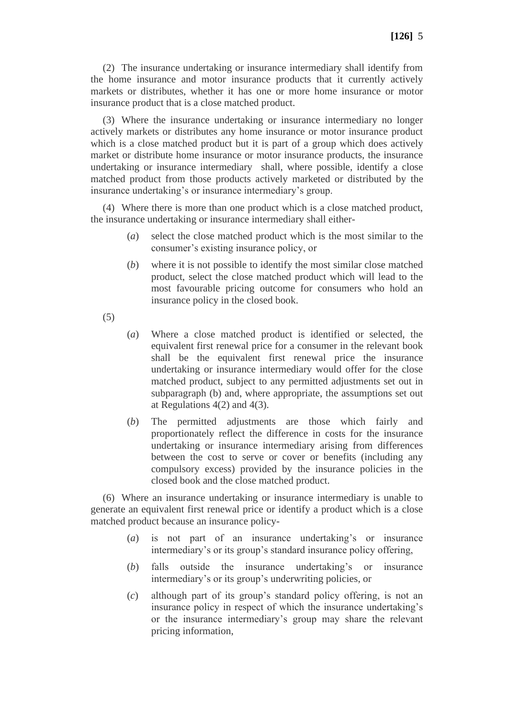(2) The insurance undertaking or insurance intermediary shall identify from the home insurance and motor insurance products that it currently actively markets or distributes, whether it has one or more home insurance or motor insurance product that is a close matched product.

(3) Where the insurance undertaking or insurance intermediary no longer actively markets or distributes any home insurance or motor insurance product which is a close matched product but it is part of a group which does actively market or distribute home insurance or motor insurance products, the insurance undertaking or insurance intermediary shall, where possible, identify a close matched product from those products actively marketed or distributed by the insurance undertaking's or insurance intermediary's group.

(4) Where there is more than one product which is a close matched product, the insurance undertaking or insurance intermediary shall either-

- (*a*) select the close matched product which is the most similar to the consumer's existing insurance policy, or
- (*b*) where it is not possible to identify the most similar close matched product, select the close matched product which will lead to the most favourable pricing outcome for consumers who hold an insurance policy in the closed book.
- (5)
- (*a*) Where a close matched product is identified or selected, the equivalent first renewal price for a consumer in the relevant book shall be the equivalent first renewal price the insurance undertaking or insurance intermediary would offer for the close matched product, subject to any permitted adjustments set out in subparagraph (b) and, where appropriate, the assumptions set out at Regulations  $4(2)$  and  $4(3)$ .
- (*b*) The permitted adjustments are those which fairly and proportionately reflect the difference in costs for the insurance undertaking or insurance intermediary arising from differences between the cost to serve or cover or benefits (including any compulsory excess) provided by the insurance policies in the closed book and the close matched product.

(6) Where an insurance undertaking or insurance intermediary is unable to generate an equivalent first renewal price or identify a product which is a close matched product because an insurance policy-

- (*a*) is not part of an insurance undertaking's or insurance intermediary's or its group's standard insurance policy offering,
- (*b*) falls outside the insurance undertaking's or insurance intermediary's or its group's underwriting policies, or
- (*c*) although part of its group's standard policy offering, is not an insurance policy in respect of which the insurance undertaking's or the insurance intermediary's group may share the relevant pricing information,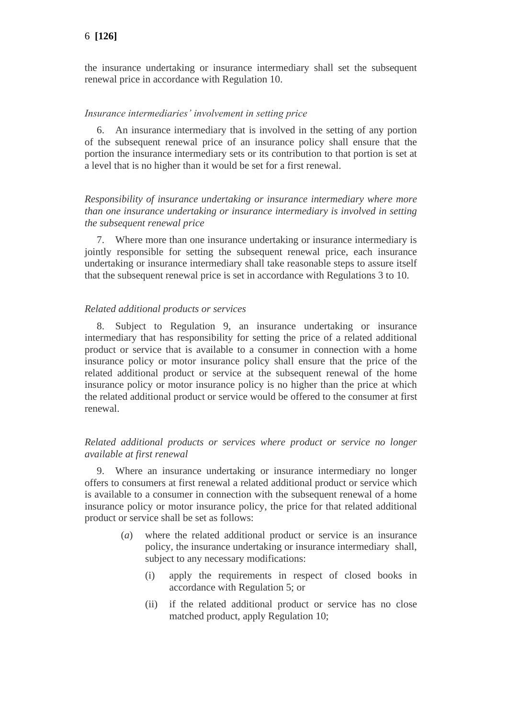the insurance undertaking or insurance intermediary shall set the subsequent renewal price in accordance with Regulation 10.

### *Insurance intermediaries' involvement in setting price*

6. An insurance intermediary that is involved in the setting of any portion of the subsequent renewal price of an insurance policy shall ensure that the portion the insurance intermediary sets or its contribution to that portion is set at a level that is no higher than it would be set for a first renewal.

*Responsibility of insurance undertaking or insurance intermediary where more than one insurance undertaking or insurance intermediary is involved in setting the subsequent renewal price*

7. Where more than one insurance undertaking or insurance intermediary is jointly responsible for setting the subsequent renewal price, each insurance undertaking or insurance intermediary shall take reasonable steps to assure itself that the subsequent renewal price is set in accordance with Regulations 3 to 10.

#### *Related additional products or services*

8. Subject to Regulation 9, an insurance undertaking or insurance intermediary that has responsibility for setting the price of a related additional product or service that is available to a consumer in connection with a home insurance policy or motor insurance policy shall ensure that the price of the related additional product or service at the subsequent renewal of the home insurance policy or motor insurance policy is no higher than the price at which the related additional product or service would be offered to the consumer at first renewal.

## *Related additional products or services where product or service no longer available at first renewal*

9. Where an insurance undertaking or insurance intermediary no longer offers to consumers at first renewal a related additional product or service which is available to a consumer in connection with the subsequent renewal of a home insurance policy or motor insurance policy, the price for that related additional product or service shall be set as follows:

- (*a*) where the related additional product or service is an insurance policy, the insurance undertaking or insurance intermediary shall, subject to any necessary modifications:
	- (i) apply the requirements in respect of closed books in accordance with Regulation 5; or
	- (ii) if the related additional product or service has no close matched product, apply Regulation 10;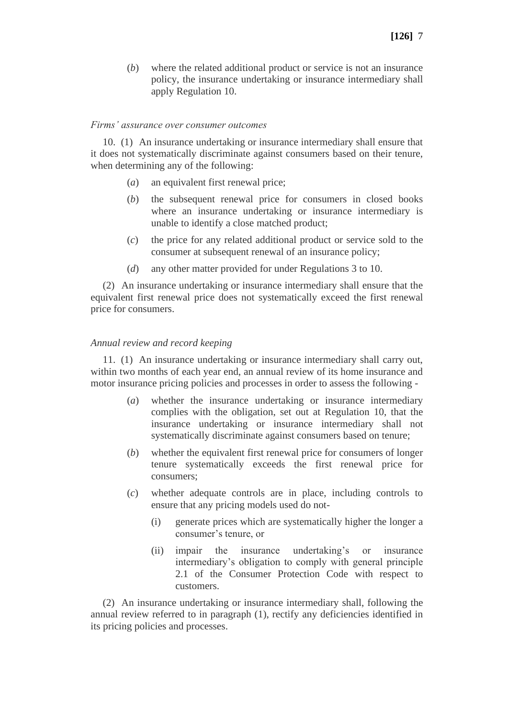(*b*) where the related additional product or service is not an insurance policy, the insurance undertaking or insurance intermediary shall apply Regulation 10.

#### *Firms' assurance over consumer outcomes*

10. (1) An insurance undertaking or insurance intermediary shall ensure that it does not systematically discriminate against consumers based on their tenure, when determining any of the following:

- (*a*) an equivalent first renewal price;
- (*b*) the subsequent renewal price for consumers in closed books where an insurance undertaking or insurance intermediary is unable to identify a close matched product;
- (*c*) the price for any related additional product or service sold to the consumer at subsequent renewal of an insurance policy;
- (*d*) any other matter provided for under Regulations 3 to 10.

(2) An insurance undertaking or insurance intermediary shall ensure that the equivalent first renewal price does not systematically exceed the first renewal price for consumers.

#### *Annual review and record keeping*

11. (1) An insurance undertaking or insurance intermediary shall carry out, within two months of each year end, an annual review of its home insurance and motor insurance pricing policies and processes in order to assess the following -

- (*a*) whether the insurance undertaking or insurance intermediary complies with the obligation, set out at Regulation 10, that the insurance undertaking or insurance intermediary shall not systematically discriminate against consumers based on tenure;
- (*b*) whether the equivalent first renewal price for consumers of longer tenure systematically exceeds the first renewal price for consumers;
- (*c*) whether adequate controls are in place, including controls to ensure that any pricing models used do not-
	- (i) generate prices which are systematically higher the longer a consumer's tenure, or
	- (ii) impair the insurance undertaking's or insurance intermediary's obligation to comply with general principle 2.1 of the Consumer Protection Code with respect to customers.

(2) An insurance undertaking or insurance intermediary shall, following the annual review referred to in paragraph (1), rectify any deficiencies identified in its pricing policies and processes.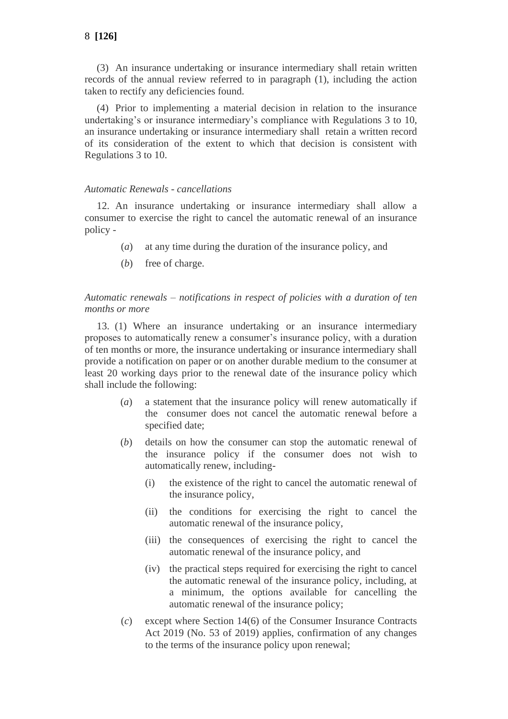(3) An insurance undertaking or insurance intermediary shall retain written records of the annual review referred to in paragraph (1), including the action taken to rectify any deficiencies found.

(4) Prior to implementing a material decision in relation to the insurance undertaking's or insurance intermediary's compliance with Regulations 3 to 10, an insurance undertaking or insurance intermediary shall retain a written record of its consideration of the extent to which that decision is consistent with Regulations 3 to 10.

### *Automatic Renewals - cancellations*

12. An insurance undertaking or insurance intermediary shall allow a consumer to exercise the right to cancel the automatic renewal of an insurance policy -

- (*a*) at any time during the duration of the insurance policy, and
- (*b*) free of charge.

### *Automatic renewals – notifications in respect of policies with a duration of ten months or more*

13. (1) Where an insurance undertaking or an insurance intermediary proposes to automatically renew a consumer's insurance policy, with a duration of ten months or more, the insurance undertaking or insurance intermediary shall provide a notification on paper or on another durable medium to the consumer at least 20 working days prior to the renewal date of the insurance policy which shall include the following:

- (*a*) a statement that the insurance policy will renew automatically if the consumer does not cancel the automatic renewal before a specified date;
- (*b*) details on how the consumer can stop the automatic renewal of the insurance policy if the consumer does not wish to automatically renew, including-
	- (i) the existence of the right to cancel the automatic renewal of the insurance policy,
	- (ii) the conditions for exercising the right to cancel the automatic renewal of the insurance policy,
	- (iii) the consequences of exercising the right to cancel the automatic renewal of the insurance policy, and
	- (iv) the practical steps required for exercising the right to cancel the automatic renewal of the insurance policy, including, at a minimum, the options available for cancelling the automatic renewal of the insurance policy;
- (*c*) except where Section 14(6) of the Consumer Insurance Contracts Act 2019 (No. 53 of 2019) applies, confirmation of any changes to the terms of the insurance policy upon renewal;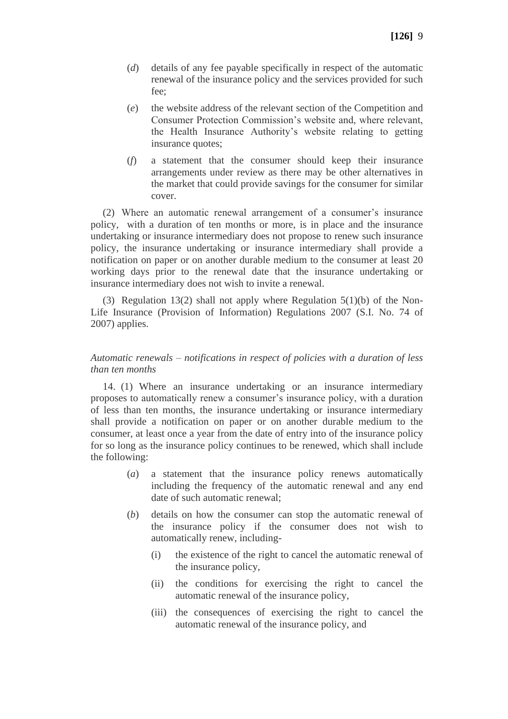- (*d*) details of any fee payable specifically in respect of the automatic renewal of the insurance policy and the services provided for such fee;
- (*e*) the website address of the relevant section of the Competition and Consumer Protection Commission's website and, where relevant, the Health Insurance Authority's website relating to getting insurance quotes;
- (*f*) a statement that the consumer should keep their insurance arrangements under review as there may be other alternatives in the market that could provide savings for the consumer for similar cover.

(2) Where an automatic renewal arrangement of a consumer's insurance policy, with a duration of ten months or more, is in place and the insurance undertaking or insurance intermediary does not propose to renew such insurance policy, the insurance undertaking or insurance intermediary shall provide a notification on paper or on another durable medium to the consumer at least 20 working days prior to the renewal date that the insurance undertaking or insurance intermediary does not wish to invite a renewal.

(3) Regulation 13(2) shall not apply where Regulation 5(1)(b) of the Non-Life Insurance (Provision of Information) Regulations 2007 (S.I. No. 74 of 2007) applies.

#### *Automatic renewals – notifications in respect of policies with a duration of less than ten months*

14. (1) Where an insurance undertaking or an insurance intermediary proposes to automatically renew a consumer's insurance policy, with a duration of less than ten months, the insurance undertaking or insurance intermediary shall provide a notification on paper or on another durable medium to the consumer, at least once a year from the date of entry into of the insurance policy for so long as the insurance policy continues to be renewed, which shall include the following:

- (*a*) a statement that the insurance policy renews automatically including the frequency of the automatic renewal and any end date of such automatic renewal;
- (*b*) details on how the consumer can stop the automatic renewal of the insurance policy if the consumer does not wish to automatically renew, including-
	- (i) the existence of the right to cancel the automatic renewal of the insurance policy,
	- (ii) the conditions for exercising the right to cancel the automatic renewal of the insurance policy,
	- (iii) the consequences of exercising the right to cancel the automatic renewal of the insurance policy, and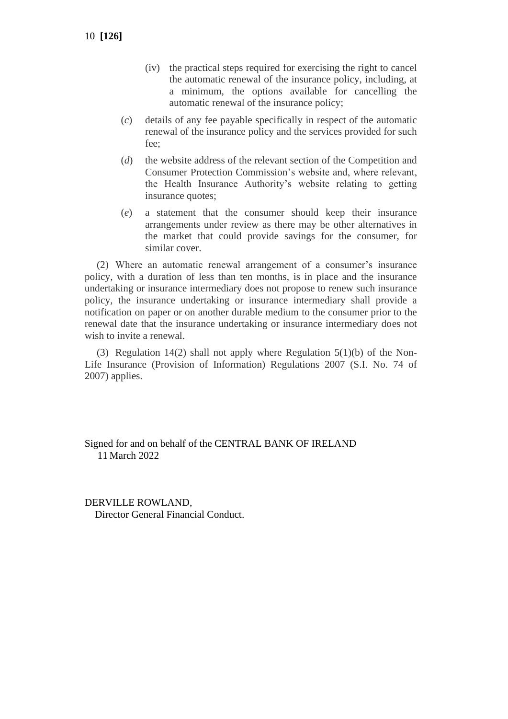- (iv) the practical steps required for exercising the right to cancel the automatic renewal of the insurance policy, including, at a minimum, the options available for cancelling the automatic renewal of the insurance policy;
- (*c*) details of any fee payable specifically in respect of the automatic renewal of the insurance policy and the services provided for such fee;
- (*d*) the website address of the relevant section of the Competition and Consumer Protection Commission's website and, where relevant, the Health Insurance Authority's website relating to getting insurance quotes;
- (*e*) a statement that the consumer should keep their insurance arrangements under review as there may be other alternatives in the market that could provide savings for the consumer, for similar cover.

(2) Where an automatic renewal arrangement of a consumer's insurance policy, with a duration of less than ten months, is in place and the insurance undertaking or insurance intermediary does not propose to renew such insurance policy, the insurance undertaking or insurance intermediary shall provide a notification on paper or on another durable medium to the consumer prior to the renewal date that the insurance undertaking or insurance intermediary does not wish to invite a renewal.

(3) Regulation 14(2) shall not apply where Regulation 5(1)(b) of the Non-Life Insurance (Provision of Information) Regulations 2007 (S.I. No. 74 of 2007) applies.

Signed for and on behalf of the CENTRAL BANK OF IRELAND 11 March 2022

DERVILLE ROWLAND, Director General Financial Conduct.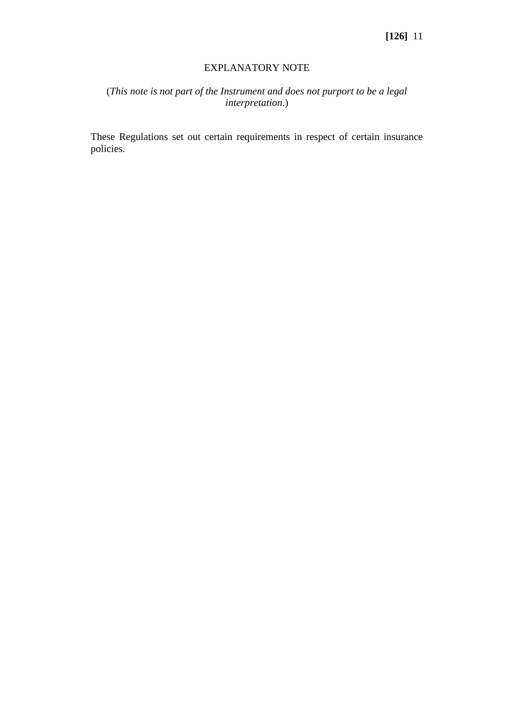#### EXPLANATORY NOTE

# (*This note is not part of the Instrument and does not purport to be a legal interpretation*.)

These Regulations set out certain requirements in respect of certain insurance policies.